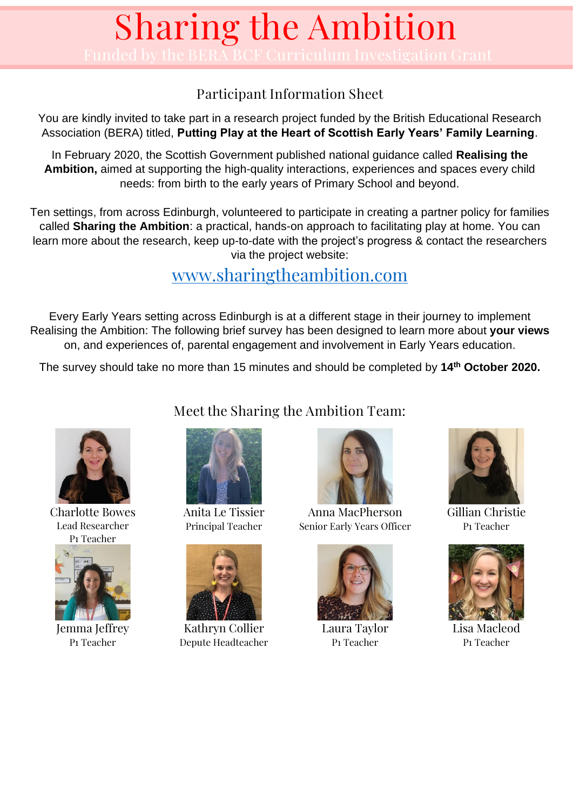#### Participant Information Sheet

You are kindly invited to take part in a research project funded by the British Educational Research Association (BERA) titled, **Putting Play at the Heart of Scottish Early Years' Family Learning**.

In February 2020, the Scottish Government published national guidance called **Realising the Ambition,** aimed at supporting the high-quality interactions, experiences and spaces every child needs: from birth to the early years of Primary School and beyond.

Ten settings, from across Edinburgh, volunteered to participate in creating a partner policy for families called **Sharing the Ambition**: a practical, hands-on approach to facilitating play at home. You can learn more about the research, keep up-to-date with the project's progress & contact the researchers via the project website:

### [www.sharingtheambition.com](http://www.sharingtheambition.com/)

Every Early Years setting across Edinburgh is at a different stage in their journey to implement Realising the Ambition: The following brief survey has been designed to learn more about **your views** on, and experiences of, parental engagement and involvement in Early Years education.

The survey should take no more than 15 minutes and should be completed by **14th October 2020.**



Charlotte Bowes Lead Researcher P1 Teacher



Jemma Jeffrey P1 Teacher

Meet the Sharing the Ambition Team:



Anita Le Tissier Principal Teacher



Kathryn Collier Depute Headteacher



Anna MacPherson Senior Early Years Officer



Laura Taylor P1 Teacher



Gillian Christie P1 Teacher



Lisa Macleod P1 Teacher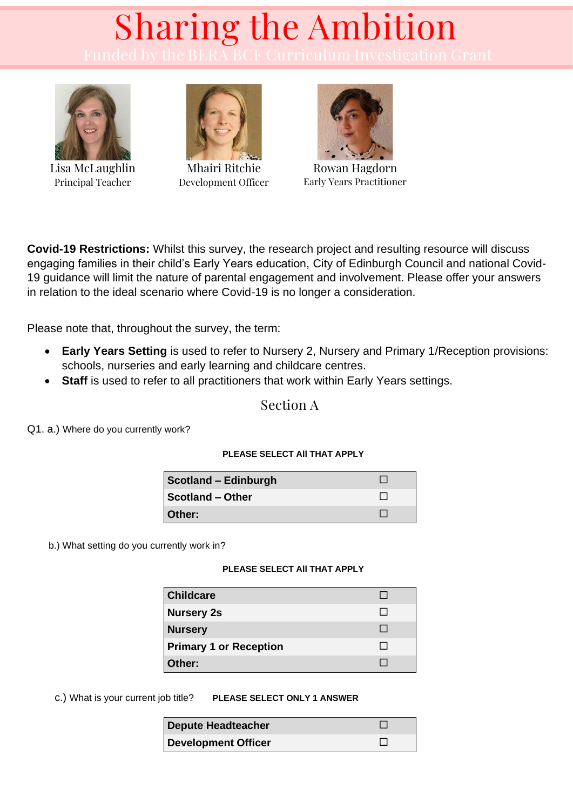

Lisa McLaughlin Principal Teacher



Mhairi Ritchie Development Officer



Rowan Hagdorn Early Years Practitioner

**Covid-19 Restrictions:** Whilst this survey, the research project and resulting resource will discuss engaging families in their child's Early Years education, City of Edinburgh Council and national Covid-19 guidance will limit the nature of parental engagement and involvement. Please offer your answers in relation to the ideal scenario where Covid-19 is no longer a consideration.

Please note that, throughout the survey, the term:

- **Early Years Setting** is used to refer to Nursery 2, Nursery and Primary 1/Reception provisions: schools, nurseries and early learning and childcare centres.
- **Staff** is used to refer to all practitioners that work within Early Years settings.

Section A

Q1. a.) Where do you currently work?

#### **PLEASE SELECT All THAT APPLY**

| Scotland - Edinburgh    |  |
|-------------------------|--|
| <b>Scotland - Other</b> |  |
| Other:                  |  |

b.) What setting do you currently work in?

#### **PLEASE SELECT All THAT APPLY**

| <b>Childcare</b>              |  |
|-------------------------------|--|
| <b>Nursery 2s</b>             |  |
| <b>Nursery</b>                |  |
| <b>Primary 1 or Reception</b> |  |
| Other:                        |  |

c.) What is your current job title? **PLEASE SELECT ONLY 1 ANSWER**

| Depute Headteacher         |  |
|----------------------------|--|
| <b>Development Officer</b> |  |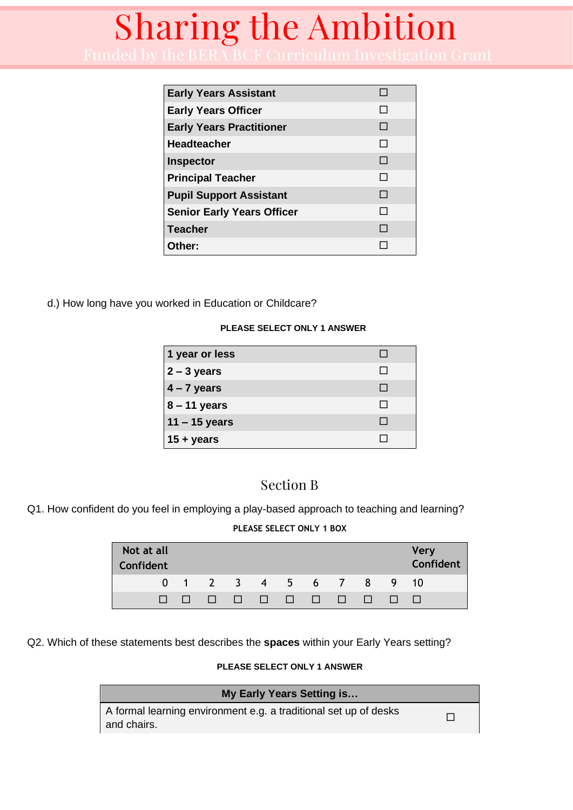| <b>Early Years Assistant</b>      |        |
|-----------------------------------|--------|
| <b>Early Years Officer</b>        | $\Box$ |
| <b>Early Years Practitioner</b>   | $\Box$ |
| <b>Headteacher</b>                | $\Box$ |
| Inspector                         | $\Box$ |
| <b>Principal Teacher</b>          | П      |
| <b>Pupil Support Assistant</b>    | $\Box$ |
| <b>Senior Early Years Officer</b> | $\Box$ |
| <b>Teacher</b>                    | $\Box$ |
| Other:                            |        |

d.) How long have you worked in Education or Childcare?

#### **PLEASE SELECT ONLY 1 ANSWER**

| 1 year or less  |              |
|-----------------|--------------|
| $2 - 3$ years   | $\mathbf{L}$ |
| $4 - 7$ years   | $\mathbf{I}$ |
| $8 - 11$ years  |              |
| $11 - 15$ years |              |
| $15 + years$    |              |

#### Section B

Q1. How confident do you feel in employing a play-based approach to teaching and learning?

#### **PLEASE SELECT ONLY 1 BOX**

| Not at all<br>Confident |  |  |  |  |                               |        | <b>Very</b><br>Confident |
|-------------------------|--|--|--|--|-------------------------------|--------|--------------------------|
|                         |  |  |  |  | 0 1 2 3 4 5 6 7 8 9 10        |        |                          |
|                         |  |  |  |  | and the state of the state of | $\Box$ |                          |

Q2. Which of these statements best describes the **spaces** within your Early Years setting?

#### **PLEASE SELECT ONLY 1 ANSWER**

| My Early Years Setting is                                                       |  |
|---------------------------------------------------------------------------------|--|
| A formal learning environment e.g. a traditional set up of desks<br>and chairs. |  |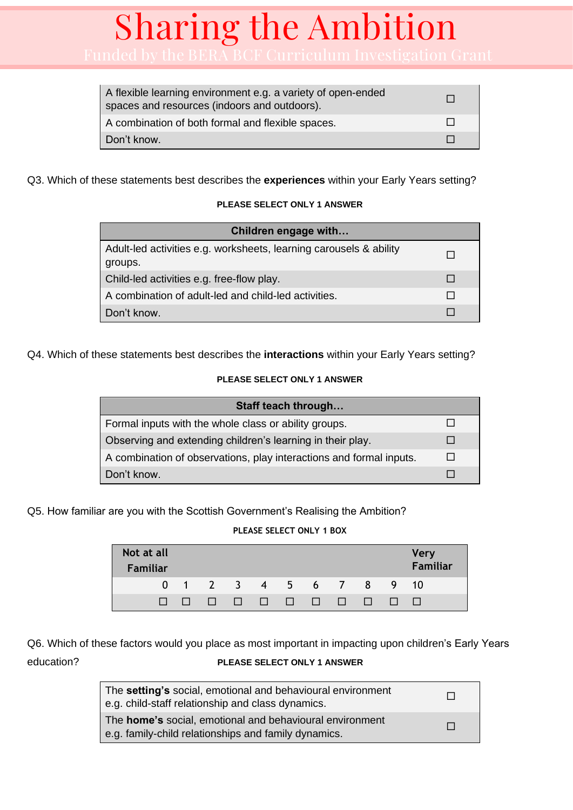| A flexible learning environment e.g. a variety of open-ended<br>spaces and resources (indoors and outdoors). |  |
|--------------------------------------------------------------------------------------------------------------|--|
| A combination of both formal and flexible spaces.                                                            |  |
| Don't know.                                                                                                  |  |

Q3. Which of these statements best describes the **experiences** within your Early Years setting?

#### **PLEASE SELECT ONLY 1 ANSWER**

| Children engage with                                                          |  |
|-------------------------------------------------------------------------------|--|
| Adult-led activities e.g. worksheets, learning carousels & ability<br>groups. |  |
| Child-led activities e.g. free-flow play.                                     |  |
| A combination of adult-led and child-led activities.                          |  |
| Don't know.                                                                   |  |

Q4. Which of these statements best describes the **interactions** within your Early Years setting?

#### **PLEASE SELECT ONLY 1 ANSWER**

| Staff teach through                                                 |  |
|---------------------------------------------------------------------|--|
| Formal inputs with the whole class or ability groups.               |  |
| Observing and extending children's learning in their play.          |  |
| A combination of observations, play interactions and formal inputs. |  |
| Don't know.                                                         |  |

Q5. How familiar are you with the Scottish Government's Realising the Ambition?

#### **PLEASE SELECT ONLY 1 BOX**

| Not at all<br><b>Familiar</b> |                                                                                                                       |  |  |              |                |              | <b>Very</b><br>Familiar |
|-------------------------------|-----------------------------------------------------------------------------------------------------------------------|--|--|--------------|----------------|--------------|-------------------------|
|                               | 0 1 2 3 4 5 6 7                                                                                                       |  |  |              | 8 <sup>7</sup> |              | 9 10                    |
|                               | <u>in di mandan di manda di sebagai di manda di sebagai di manda di sebagai di sebagai di sebagai di sebagai di s</u> |  |  | $\mathbf{1}$ |                | $\mathbf{L}$ |                         |

Q6. Which of these factors would you place as most important in impacting upon children's Early Years education? **PLEASE SELECT ONLY 1 ANSWER**

The **setting's** social, emotional and behavioural environment e.g. child-staff relationship and class dynamics. The **home's** social, emotional and behavioural environment e.g. family-child relationships and family dynamics.  $\Box$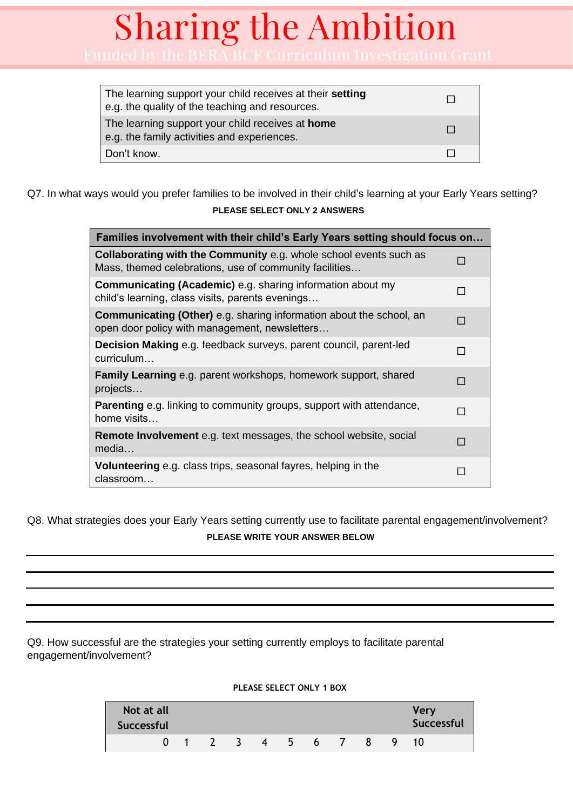| The learning support your child receives at their setting<br>e.g. the quality of the teaching and resources. |  |
|--------------------------------------------------------------------------------------------------------------|--|
| The learning support your child receives at home<br>e.g. the family activities and experiences.              |  |
| Don't know.                                                                                                  |  |

Q7. In what ways would you prefer families to be involved in their child's learning at your Early Years setting? **PLEASE SELECT ONLY 2 ANSWERS** 

| Families involvement with their child's Early Years setting should focus on                                                 |   |  |  |
|-----------------------------------------------------------------------------------------------------------------------------|---|--|--|
| Collaborating with the Community e.g. whole school events such as<br>Mass, themed celebrations, use of community facilities | П |  |  |
| <b>Communicating (Academic)</b> e.g. sharing information about my<br>child's learning, class visits, parents evenings       | П |  |  |
| <b>Communicating (Other)</b> e.g. sharing information about the school, an<br>open door policy with management, newsletters | П |  |  |
| <b>Decision Making</b> e.g. feedback surveys, parent council, parent-led<br>curriculum                                      | П |  |  |
| <b>Family Learning</b> e.g. parent workshops, homework support, shared<br>projects                                          | П |  |  |
| <b>Parenting</b> e.g. linking to community groups, support with attendance,<br>home visits                                  | П |  |  |
| <b>Remote Involvement</b> e.g. text messages, the school website, social<br>media                                           | П |  |  |
| <b>Volunteering</b> e.g. class trips, seasonal fayres, helping in the<br>classroom                                          | П |  |  |

Q8. What strategies does your Early Years setting currently use to facilitate parental engagement/involvement?

#### **PLEASE WRITE YOUR ANSWER BELOW**

Q9. How successful are the strategies your setting currently employs to facilitate parental engagement/involvement?

#### **Not at all Successful Very Successful** 0 1 2 3 4 5 6 7 8 9 10

#### **PLEASE SELECT ONLY 1 BOX**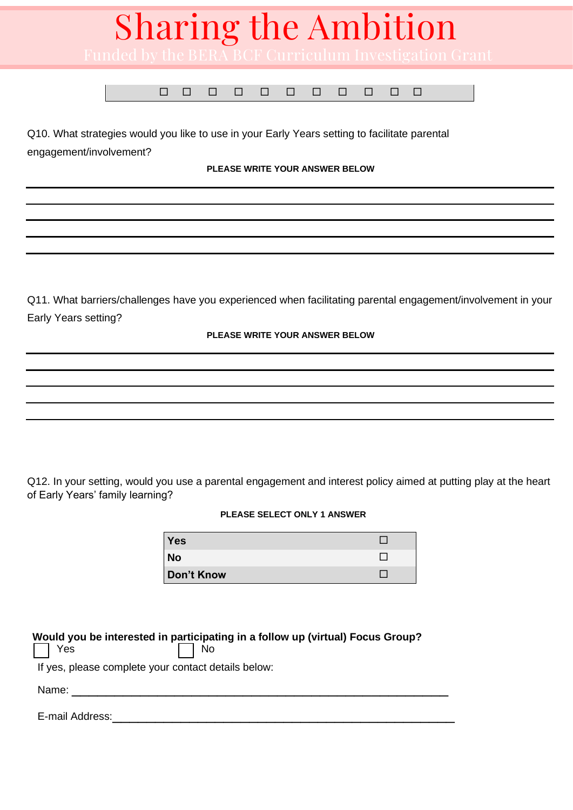

Q10. What strategies would you like to use in your Early Years setting to facilitate parental engagement/involvement?

**PLEASE WRITE YOUR ANSWER BELOW** 

Q11. What barriers/challenges have you experienced when facilitating parental engagement/involvement in your Early Years setting?

#### **PLEASE WRITE YOUR ANSWER BELOW**

Q12. In your setting, would you use a parental engagement and interest policy aimed at putting play at the heart of Early Years' family learning?

#### **PLEASE SELECT ONLY 1 ANSWER**

| <b>Yes</b> |  |
|------------|--|
| <b>No</b>  |  |
| Don't Know |  |

#### **Would you be interested in participating in a follow up (virtual) Focus Group?**

|  | Yes |  | $\Box$ No |
|--|-----|--|-----------|
|--|-----|--|-----------|

If yes, please complete your contact details below:

Name:  $\blacksquare$ 

E-mail Address: **E-mail Address:**